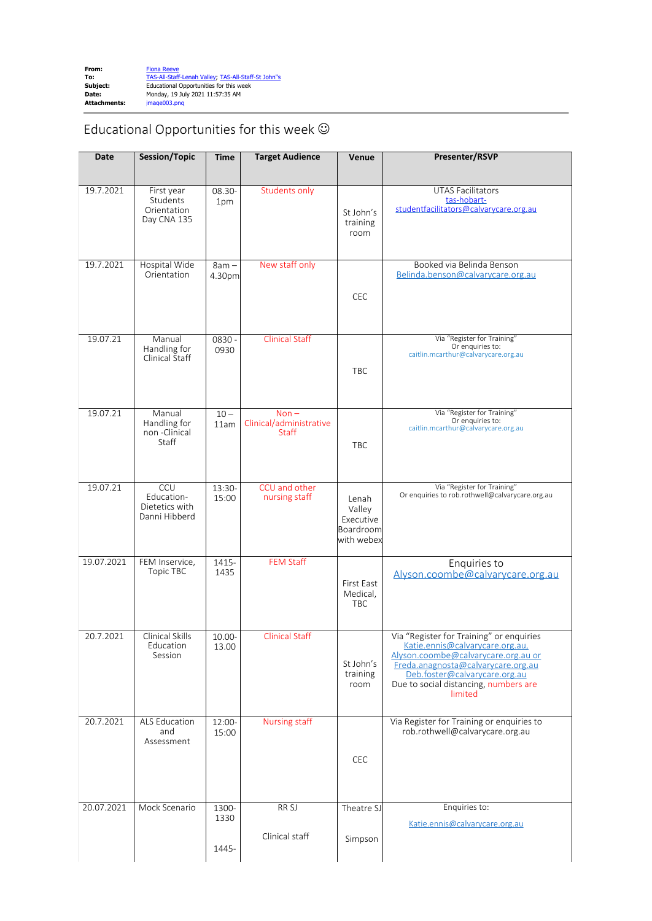## Educational Opportunities for this week  $\odot$

| Date       | <b>Session/Topic</b>                                        | <b>Time</b>            | <b>Target Audience</b>                             | Venue                                                   | Presenter/RSVP                                                                                                                                                                                                                                |
|------------|-------------------------------------------------------------|------------------------|----------------------------------------------------|---------------------------------------------------------|-----------------------------------------------------------------------------------------------------------------------------------------------------------------------------------------------------------------------------------------------|
|            |                                                             |                        |                                                    |                                                         |                                                                                                                                                                                                                                               |
| 19.7.2021  | First year<br>Students<br>Orientation<br>Day CNA 135        | 08.30-<br>1pm          | <b>Students only</b>                               | St John's<br>training<br>room                           | <b>UTAS Facilitators</b><br>tas-hobart-<br>studentfacilitators@calvarycare.org.au                                                                                                                                                             |
| 19.7.2021  | Hospital Wide<br>Orientation                                | $8am -$<br>4.30pm      | New staff only                                     | CEC                                                     | Booked via Belinda Benson<br>Belinda.benson@calvarycare.org.au                                                                                                                                                                                |
|            |                                                             |                        |                                                    |                                                         |                                                                                                                                                                                                                                               |
| 19.07.21   | Manual<br>Handling for<br>Clinical Staff                    | 0830 -<br>0930         | <b>Clinical Staff</b>                              | <b>TBC</b>                                              | Via "Register for Training"<br>Or enquiries to:<br>caitlin.mcarthur@calvarycare.org.au                                                                                                                                                        |
| 19.07.21   | Manual<br>Handling for<br>non-Clinical<br>Staff             | $10 -$<br>11am         | $Non -$<br>Clinical/administrative<br><b>Staff</b> | <b>TBC</b>                                              | Via "Register for Training"<br>Or enquiries to:<br>caitlin.mcarthur@calvarycare.org.au                                                                                                                                                        |
| 19.07.21   | <b>CCU</b><br>Education-<br>Dietetics with<br>Danni Hibberd | $13:30-$<br>15:00      | CCU and other<br>nursing staff                     | Lenah<br>Valley<br>Executive<br>Boardroom<br>with webex | Via "Register for Training"<br>Or enquiries to rob.rothwell@calvarycare.org.au                                                                                                                                                                |
| 19.07.2021 | FEM Inservice,<br>Topic TBC                                 | 1415-<br>1435          | <b>FEM Staff</b>                                   | First East<br>Medical,<br><b>TBC</b>                    | Enquiries to<br>Alyson.coombe@calvarycare.org.au                                                                                                                                                                                              |
| 20.7.2021  | Clinical Skills<br>Education<br>Session                     | 10.00-<br>13.00        | <b>Clinical Staff</b>                              | St John's<br>training<br>room                           | Via "Register for Training" or enquiries<br>Katie.ennis@calvarycare.org.au,<br>Alyson.coombe@calvarycare.org.au or<br>Freda.anagnosta@calvarycare.org.au<br>Deb.foster@calvarycare.org.au<br>Due to social distancing, numbers are<br>limited |
| 20.7.2021  | <b>ALS Education</b><br>and<br>Assessment                   | 12:00-<br>15:00        | <b>Nursing staff</b>                               | CEC                                                     | Via Register for Training or enquiries to<br>rob.rothwell@calvarycare.org.au                                                                                                                                                                  |
| 20.07.2021 | Mock Scenario                                               | 1300-<br>1330<br>1445- | RR SJ<br>Clinical staff                            | Theatre SJ<br>Simpson                                   | Enquiries to:<br>Katie.ennis@calvarycare.org.au                                                                                                                                                                                               |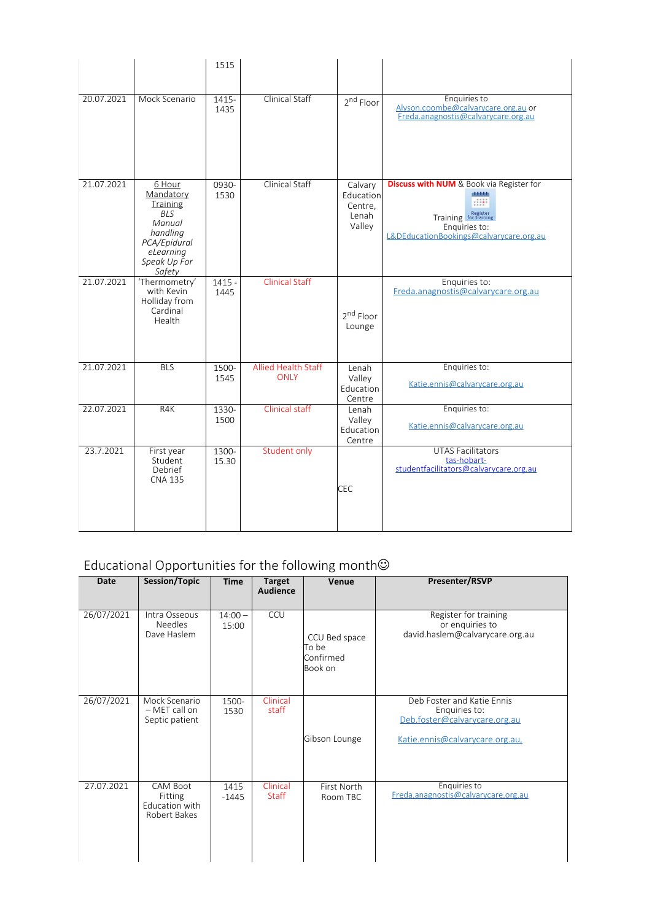|            |                                                                                                                                   | 1515             |                                           |                                                    |                                                                                                                                                         |
|------------|-----------------------------------------------------------------------------------------------------------------------------------|------------------|-------------------------------------------|----------------------------------------------------|---------------------------------------------------------------------------------------------------------------------------------------------------------|
| 20.07.2021 | Mock Scenario                                                                                                                     | 1415-<br>1435    | <b>Clinical Staff</b>                     | 2 <sup>nd</sup> Floor                              | Enquiries to<br>Alyson.coombe@calvarycare.org.au or<br>Freda.anagnostis@calvarycare.org.au                                                              |
| 21.07.2021 | 6 Hour<br>Mandatory<br><b>Training</b><br><b>BLS</b><br>Manual<br>handling<br>PCA/Epidural<br>eLearning<br>Speak Up For<br>Safety | 0930-<br>1530    | Clinical Staff                            | Calvary<br>Education<br>Centre,<br>Lenah<br>Valley | <b>Discuss with NUM</b> & Book via Register for<br>district<br>HH.<br>Training for training<br>Enquiries to:<br>L&DEducationBookings@calvarycare.org.au |
| 21.07.2021 | 'Thermometry'<br>with Kevin<br>Holliday from<br>Cardinal<br>Health                                                                | $1415 -$<br>1445 | <b>Clinical Staff</b>                     | 2 <sup>nd</sup> Floor<br>Lounge                    | Enquiries to:<br>Freda.anagnostis@calvarycare.org.au                                                                                                    |
| 21.07.2021 | <b>BLS</b>                                                                                                                        | 1500-<br>1545    | <b>Allied Health Staff</b><br><b>ONLY</b> | Lenah<br>Valley<br>Education<br>Centre             | Enquiries to:<br>Katie.ennis@calvarycare.org.au                                                                                                         |
| 22.07.2021 | R4K                                                                                                                               | 1330-<br>1500    | <b>Clinical staff</b>                     | Lenah<br>Valley<br>Education<br>Centre             | Enquiries to:<br>Katie.ennis@calvarycare.org.au                                                                                                         |
| 23.7.2021  | First year<br>Student<br>Debrief<br><b>CNA 135</b>                                                                                | 1300-<br>15.30   | Student only                              | <b>CEC</b>                                         | <b>UTAS Facilitators</b><br>tas-hobart-<br>studentfacilitators@calvarycare.org.au                                                                       |

## Educational Opportunities for the following month $\copyright$

| <b>Date</b> | Session/Topic                                                | <b>Time</b>        | Target<br><b>Audience</b> | Venue                                          | Presenter/RSVP                                                                                                  |
|-------------|--------------------------------------------------------------|--------------------|---------------------------|------------------------------------------------|-----------------------------------------------------------------------------------------------------------------|
| 26/07/2021  | Intra Osseous<br><b>Needles</b><br>Dave Haslem               | $14:00 -$<br>15:00 | CCU                       | CCU Bed space<br>To be<br>Confirmed<br>Book on | Register for training<br>or enquiries to<br>david.haslem@calvarycare.org.au                                     |
| 26/07/2021  | Mock Scenario<br>- MET call on<br>Septic patient             | 1500-<br>1530      | Clinical<br>staff         | Gibson Lounge                                  | Deb Foster and Katie Ennis<br>Enquiries to:<br>Deb.foster@calvarycare.org.au<br>Katie.ennis@calvarycare.org.au, |
| 27.07.2021  | <b>CAM Boot</b><br>Fitting<br>Education with<br>Robert Bakes | 1415<br>$-1445$    | Clinical<br><b>Staff</b>  | First North<br>Room TBC                        | Enquiries to<br>Freda.anagnostis@calvarycare.org.au                                                             |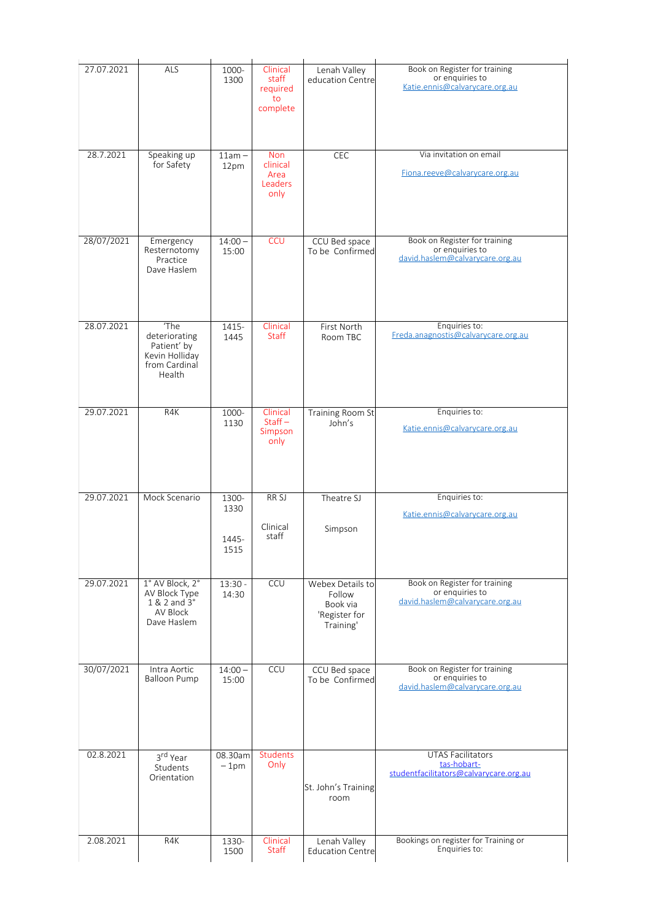| 27.07.2021 | ALS                                                                               | 1000-<br>1300                  | Clinical<br>staff<br>required<br>to<br>complete   | Lenah Valley<br>education Centre                                     | Book on Register for training<br>or enquiries to<br>Katie.ennis@calvarycare.org.au  |
|------------|-----------------------------------------------------------------------------------|--------------------------------|---------------------------------------------------|----------------------------------------------------------------------|-------------------------------------------------------------------------------------|
| 28.7.2021  | Speaking up<br>for Safety                                                         | $11am -$<br>12pm               | <b>Non</b><br>clinical<br>Area<br>Leaders<br>only | CEC                                                                  | Via invitation on email<br>Fiona.reeve@calvarycare.org.au                           |
| 28/07/2021 | Emergency<br>Resternotomy<br>Practice<br>Dave Haslem                              | $14:00 -$<br>15:00             | <b>CCU</b>                                        | CCU Bed space<br>To be Confirmed                                     | Book on Register for training<br>or enquiries to<br>david.haslem@calvarycare.org.au |
| 28.07.2021 | 'The<br>deteriorating<br>Patient' by<br>Kevin Holliday<br>from Cardinal<br>Health | 1415-<br>1445                  | Clinical<br><b>Staff</b>                          | First North<br>Room TBC                                              | Enquiries to:<br>Freda.anagnostis@calvarycare.org.au                                |
| 29.07.2021 | R4K                                                                               | 1000-<br>1130                  | Clinical<br>$Start -$<br>Simpson<br>only          | <b>Training Room St</b><br>John's                                    | Enquiries to:<br>Katie.ennis@calvarycare.org.au                                     |
| 29.07.2021 | Mock Scenario                                                                     | 1300-<br>1330<br>1445-<br>1515 | RR <sub>SJ</sub><br>Clinical<br>staff             | Theatre SJ<br>Simpson                                                | Enquiries to:<br>Katie.ennis@calvarycare.org.au                                     |
| 29.07.2021 | 1° AV Block, 2°<br>AV Block Type<br>1 & 2 and 3°<br>AV Block<br>Dave Haslem       | $13:30 -$<br>14:30             | CCU                                               | Webex Details to<br>Follow<br>Book via<br>'Register for<br>Training' | Book on Register for training<br>or enquiries to<br>david.haslem@calvarycare.org.au |
| 30/07/2021 | Intra Aortic<br><b>Balloon Pump</b>                                               | $14:00 -$<br>15:00             | CCU                                               | CCU Bed space<br>To be Confirmed                                     | Book on Register for training<br>or enquiries to<br>david.haslem@calvarycare.org.au |
| 02.8.2021  | 3rd Year<br>Students<br>Orientation                                               | 08.30am<br>$-1pm$              | Students<br>Only                                  | St. John's Training<br>room                                          | <b>UTAS Facilitators</b><br>tas-hobart-<br>studentfacilitators@calvarycare.org.au   |
| 2.08.2021  | R4K                                                                               | 1330-<br>1500                  | Clinical<br><b>Staff</b>                          | Lenah Valley<br><b>Education Centre</b>                              | Bookings on register for Training or<br>Enquiries to:                               |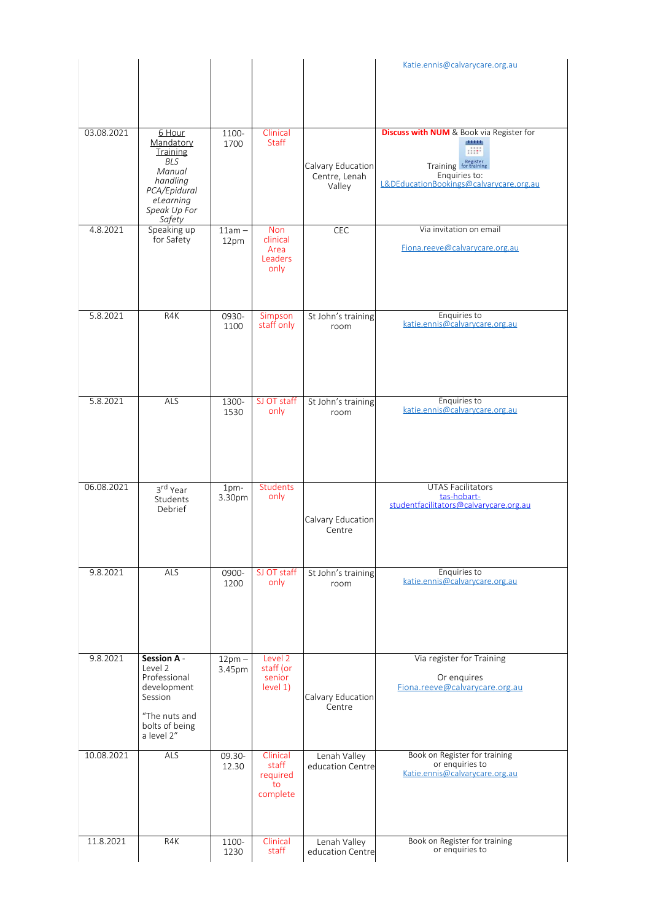|            |                                                                                                                            |                    |                                                   |                                              | Katie.ennis@calvarycare.org.au                                                                                                                                |
|------------|----------------------------------------------------------------------------------------------------------------------------|--------------------|---------------------------------------------------|----------------------------------------------|---------------------------------------------------------------------------------------------------------------------------------------------------------------|
| 03.08.2021 | 6 Hour<br>Mandatory<br>Training<br><b>BLS</b><br>Manual<br>handling<br>PCA/Epidural<br>eLearning<br>Speak Up For<br>Safety | 1100-<br>1700      | Clinical<br><b>Staff</b>                          | Calvary Education<br>Centre, Lenah<br>Valley | <b>Discuss with NUM</b> & Book via Register for<br>distribution<br>:::::<br>Training for training<br>Enquiries to:<br>L&DEducationBookings@calvarycare.org.au |
| 4.8.2021   | Speaking up<br>for Safety                                                                                                  | $11am -$<br>12pm   | <b>Non</b><br>clinical<br>Area<br>Leaders<br>only | CEC                                          | Via invitation on email<br>Fiona.reeve@calvarycare.org.au                                                                                                     |
| 5.8.2021   | R4K                                                                                                                        | 0930-<br>1100      | Simpson<br>staff only                             | St John's training<br>room                   | Enquiries to<br>katie.ennis@calvarycare.org.au                                                                                                                |
| 5.8.2021   | ALS                                                                                                                        | 1300-<br>1530      | SJ OT staff<br>only                               | St John's training<br>room                   | Enquiries to<br>katie.ennis@calvarycare.org.au                                                                                                                |
| 06.08.2021 | 3rd Year<br>Students<br>Debrief                                                                                            | $1pm-$<br>3.30pm   | Students<br>only                                  | Calvary Education<br>Centre                  | <b>UTAS Facilitators</b><br>tas-hobart-<br>studentfacilitators@calvarycare.org.au                                                                             |
| 9.8.2021   | ALS                                                                                                                        | 0900-<br>1200      | SJ OT staff<br>only                               | St John's training<br>room                   | Enquiries to<br>katie.ennis@calvarycare.org.au                                                                                                                |
| 9.8.2021   | <b>Session A -</b><br>Level 2<br>Professional<br>development<br>Session<br>"The nuts and<br>bolts of being<br>a level 2"   | $12pm -$<br>3.45pm | Level 2<br>staff (or<br>senior<br>level 1)        | Calvary Education<br>Centre                  | Via register for Training<br>Or enquires<br>Fiona.reeve@calvarycare.org.au                                                                                    |
| 10.08.2021 | ALS                                                                                                                        | 09.30-<br>12.30    | Clinical<br>staff<br>required<br>to<br>complete   | Lenah Valley<br>education Centre             | Book on Register for training<br>or enquiries to<br>Katie.ennis@calvarycare.org.au                                                                            |
| 11.8.2021  | R4K                                                                                                                        | 1100-<br>1230      | Clinical<br>staff                                 | Lenah Valley<br>education Centre             | Book on Register for training<br>or enquiries to                                                                                                              |